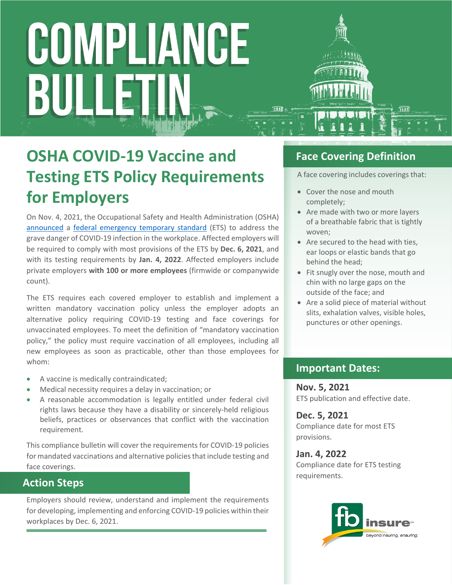# COMPLIANCE BULI

### **OSHA COVID-19 Vaccine and Testing ETS Policy Requirements for Employers**

On Nov. 4, 2021, the Occupational Safety and Health Administration (OSHA) [announced](https://www.osha.gov/news/newsreleases/national/11042021) a [federal emergency temporary standard](https://www.federalregister.gov/public-inspection/2021-23643/covid-19-vaccination-and-testing-emergency-temporary-standard) (ETS) to address the grave danger of COVID-19 infection in the workplace. Affected employers will be required to comply with most provisions of the ETS by **Dec. 6, 2021**, and with its testing requirements by **Jan. 4, 2022**. Affected employers include private employers **with 100 or more employees** (firmwide or companywide count).

The ETS requires each covered employer to establish and implement a written mandatory vaccination policy unless the employer adopts an alternative policy requiring COVID-19 testing and face coverings for unvaccinated employees. To meet the definition of "mandatory vaccination policy," the policy must require vaccination of all employees, including all new employees as soon as practicable, other than those employees for whom:

- A vaccine is medically contraindicated;
- Medical necessity requires a delay in vaccination; or
- A reasonable accommodation is legally entitled under federal civil rights laws because they have a disability or sincerely-held religious beliefs, practices or observances that conflict with the vaccination requirement.

This compliance bulletin will cover the requirements for COVID-19 policies for mandated vaccinations and alternative policies that include testing and face coverings.

#### **Action Steps**

Employers should review, understand and implement the requirements for developing, implementing and enforcing COVID-19 policies within their workplaces by Dec. 6, 2021.

#### **Face Covering Definition**

A face covering includes coverings that:

- Cover the nose and mouth completely;
- Are made with two or more layers of a breathable fabric that is tightly woven;
- Are secured to the head with ties, ear loops or elastic bands that go behind the head;
- Fit snugly over the nose, mouth and chin with no large gaps on the outside of the face; and
- Are a solid piece of material without slits, exhalation valves, visible holes, punctures or other openings.

#### **Important Dates:**

**Nov. 5, 2021** ETS publication and effective date.

**Dec. 5, 2021** Compliance date for most ETS provisions.

**Jan. 4, 2022** Compliance date for ETS testing requirements.

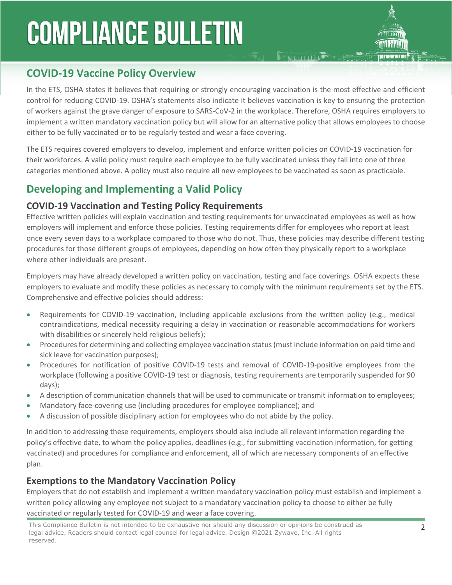## **COMPLIANCE BULLETIN**



#### **COVID-19 Vaccine Policy Overview**

In the ETS, OSHA states it believes that requiring or strongly encouraging vaccination is the most effective and efficient control for reducing COVID-19. OSHA's statements also indicate it believes vaccination is key to ensuring the protection of workers against the grave danger of exposure to SARS-CoV-2 in the workplace. Therefore, OSHA requires employers to implement a written mandatory vaccination policy but will allow for an alternative policy that allows employees to choose either to be fully vaccinated or to be regularly tested and wear a face covering.

 $\sum_{i=1}^{n}$ 

The ETS requires covered employers to develop, implement and enforce written policies on COVID-19 vaccination for their workforces. A valid policy must require each employee to be fully vaccinated unless they fall into one of three categories mentioned above. A policy must also require all new employees to be vaccinated as soon as practicable.

#### **Developing and Implementing a Valid Policy**

#### **COVID-19 Vaccination and Testing Policy Requirements**

Effective written policies will explain vaccination and testing requirements for unvaccinated employees as well as how employers will implement and enforce those policies. Testing requirements differ for employees who report at least once every seven days to a workplace compared to those who do not. Thus, these policies may describe different testing procedures for those different groups of employees, depending on how often they physically report to a workplace where other individuals are present.

Employers may have already developed a written policy on vaccination, testing and face coverings. OSHA expects these employers to evaluate and modify these policies as necessary to comply with the minimum requirements set by the ETS. Comprehensive and effective policies should address:

- Requirements for COVID-19 vaccination, including applicable exclusions from the written policy (e.g., medical contraindications, medical necessity requiring a delay in vaccination or reasonable accommodations for workers with disabilities or sincerely held religious beliefs);
- Procedures for determining and collecting employee vaccination status (must include information on paid time and sick leave for vaccination purposes);
- Procedures for notification of positive COVID-19 tests and removal of COVID-19-positive employees from the workplace (following a positive COVID-19 test or diagnosis, testing requirements are temporarily suspended for 90 days);
- A description of communication channels that will be used to communicate or transmit information to employees;
- Mandatory face-covering use (including procedures for employee compliance); and
- A discussion of possible disciplinary action for employees who do not abide by the policy.

In addition to addressing these requirements, employers should also include all relevant information regarding the policy's effective date, to whom the policy applies, deadlines (e.g., for submitting vaccination information, for getting vaccinated) and procedures for compliance and enforcement, all of which are necessary components of an effective plan.

#### **Exemptions to the Mandatory Vaccination Policy**

Employers that do not establish and implement a written mandatory vaccination policy must establish and implement a written policy allowing any employee not subject to a mandatory vaccination policy to choose to either be fully vaccinated or regularly tested for COVID-19 and wear a face covering.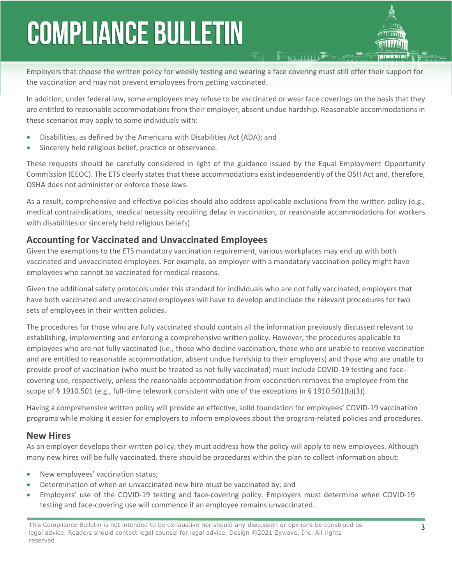## **COMPLIANCE BULLETIN**

Employers that choose the written policy for weekly testing and wearing a face covering must still offer their support for the vaccination and may not prevent employees from getting vaccinated.

In addition, under federal law, some employees may refuse to be vaccinated or wear face coverings on the basis that they are entitled to reasonable accommodations from their employer, absent undue hardship. Reasonable accommodations in these scenarios may apply to some individuals with:

- Disabilities, as defined by the Americans with Disabilities Act (ADA); and
- Sincerely held religious belief, practice or observance.

These requests should be carefully considered in light of the guidance issued by the Equal Employment Opportunity Commission (EEOC). The ETS clearly states that these accommodations exist independently of the OSH Act and, therefore, OSHA does not administer or enforce these laws.

As a result, comprehensive and effective policies should also address applicable exclusions from the written policy (e.g., medical contraindications, medical necessity requiring delay in vaccination, or reasonable accommodations for workers with disabilities or sincerely held religious beliefs).

#### **Accounting for Vaccinated and Unvaccinated Employees**

Given the exemptions to the ETS mandatory vaccination requirement, various workplaces may end up with both vaccinated and unvaccinated employees. For example, an employer with a mandatory vaccination policy might have employees who cannot be vaccinated for medical reasons.

Given the additional safety protocols under this standard for individuals who are not fully vaccinated, employers that have both vaccinated and unvaccinated employees will have to develop and include the relevant procedures for two sets of employees in their written policies.

The procedures for those who are fully vaccinated should contain all the information previously discussed relevant to establishing, implementing and enforcing a comprehensive written policy. However, the procedures applicable to employees who are not fully vaccinated (i.e., those who decline vaccination, those who are unable to receive vaccination and are entitled to reasonable accommodation, absent undue hardship to their employers) and those who are unable to provide proof of vaccination (who must be treated as not fully vaccinated) must include COVID-19 testing and facecovering use, respectively, unless the reasonable accommodation from vaccination removes the employee from the scope of § 1910.501 (e.g., full-time telework consistent with one of the exceptions in § 1910.501(b)(3)).

Having a comprehensive written policy will provide an effective, solid foundation for employees' COVID-19 vaccination programs while making it easier for employers to inform employees about the program-related policies and procedures.

#### **New Hires**

As an employer develops their written policy, they must address how the policy will apply to new employees. Although many new hires will be fully vaccinated, there should be procedures within the plan to collect information about:

- New employees' vaccination status;
- Determination of when an unvaccinated new hire must be vaccinated by; and
- Employers' use of the COVID-19 testing and face-covering policy. Employers must determine when COVID-19 testing and face-covering use will commence if an employee remains unvaccinated.